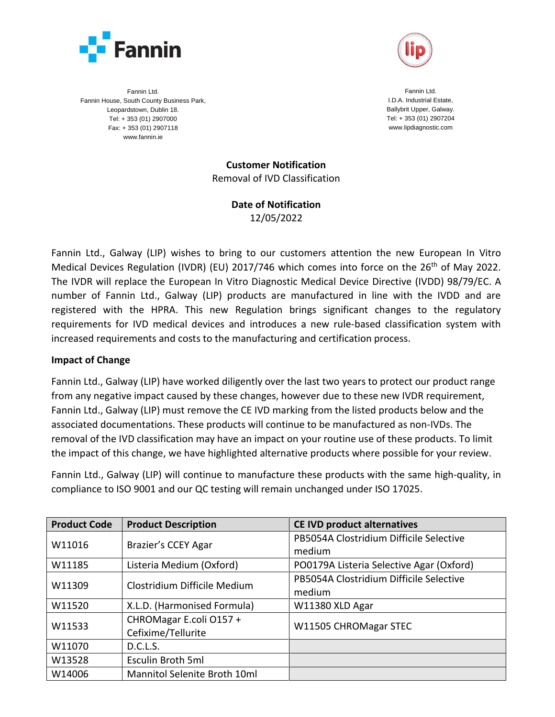



Fannin Ltd. Fannin House, South County Business Park, Leopardstown, Dublin 18. Tel: + 353 (01) 2907000 Fax: + 353 (01) 2907118 www.fannin.ie

Fannin Ltd. I.D.A. Industrial Estate, Ballybrit Upper, Galway. Tel: + 353 (01) 2907204 www.lipdiagnostic.com

**Customer Notification** Removal of IVD Classification

> **Date of Notification** 12/05/2022

Fannin Ltd., Galway (LIP) wishes to bring to our customers attention the new European In Vitro Medical Devices Regulation (IVDR) (EU) 2017/746 which comes into force on the 26<sup>th</sup> of May 2022. The IVDR will replace the European In Vitro Diagnostic Medical Device Directive (IVDD) 98/79/EC. A number of Fannin Ltd., Galway (LIP) products are manufactured in line with the IVDD and are registered with the HPRA. This new Regulation brings significant changes to the regulatory requirements for IVD medical devices and introduces a new rule-based classification system with increased requirements and costs to the manufacturing and certification process.

## **Impact of Change**

Fannin Ltd., Galway (LIP) have worked diligently over the last two years to protect our product range from any negative impact caused by these changes, however due to these new IVDR requirement, Fannin Ltd., Galway (LIP) must remove the CE IVD marking from the listed products below and the associated documentations. These products will continue to be manufactured as non-IVDs. The removal of the IVD classification may have an impact on your routine use of these products. To limit the impact of this change, we have highlighted alternative products where possible for your review.

Fannin Ltd., Galway (LIP) will continue to manufacture these products with the same high-quality, in compliance to ISO 9001 and our QC testing will remain unchanged under ISO 17025.

| <b>Product Code</b> | <b>Product Description</b>                    | <b>CE IVD product alternatives</b>                |
|---------------------|-----------------------------------------------|---------------------------------------------------|
| W11016              | Brazier's CCEY Agar                           | PB5054A Clostridium Difficile Selective<br>medium |
| W11185              | Listeria Medium (Oxford)                      | PO0179A Listeria Selective Agar (Oxford)          |
| W11309              | Clostridium Difficile Medium                  | PB5054A Clostridium Difficile Selective<br>medium |
| W11520              | X.L.D. (Harmonised Formula)                   | W11380 XLD Agar                                   |
| W11533              | CHROMagar E.coli O157 +<br>Cefixime/Tellurite | W11505 CHROMagar STEC                             |
| W11070              | D.C.L.S.                                      |                                                   |
| W13528              | Esculin Broth 5ml                             |                                                   |
| W14006              | Mannitol Selenite Broth 10ml                  |                                                   |